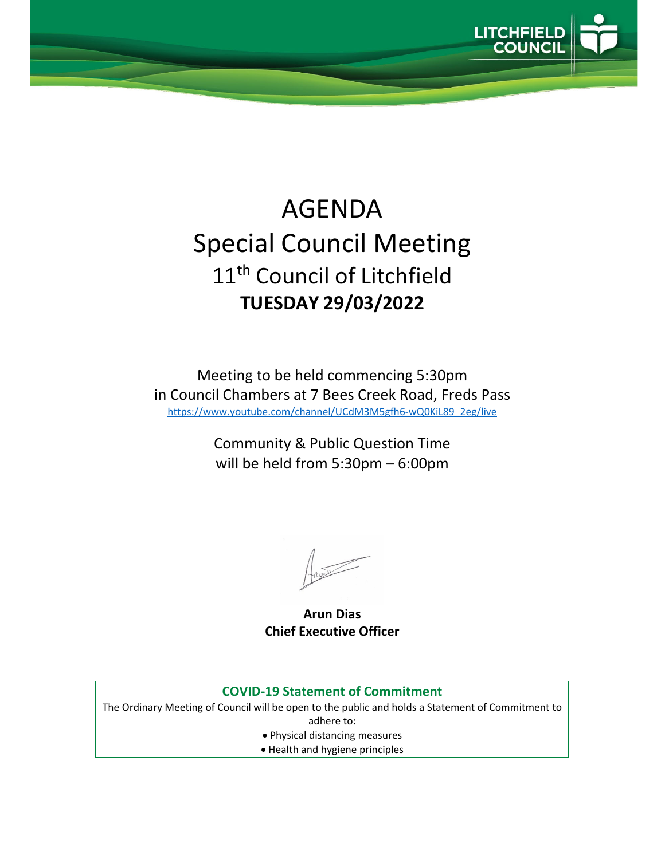

# AGENDA Special Council Meeting 11<sup>th</sup> Council of Litchfield **TUESDAY 29/03/2022**

Meeting to be held commencing 5:30pm in Council Chambers at 7 Bees Creek Road, Freds Pass https://www.youtube.com/channel/UCdM3M5gfh6‐wQ0KiL89\_2eg/live

> Community & Public Question Time will be held from 5:30pm – 6:00pm

**Arun Dias Chief Executive Officer**

#### **COVID‐19 Statement of Commitment**

The Ordinary Meeting of Council will be open to the public and holds a Statement of Commitment to adhere to:

- Physical distancing measures
- Health and hygiene principles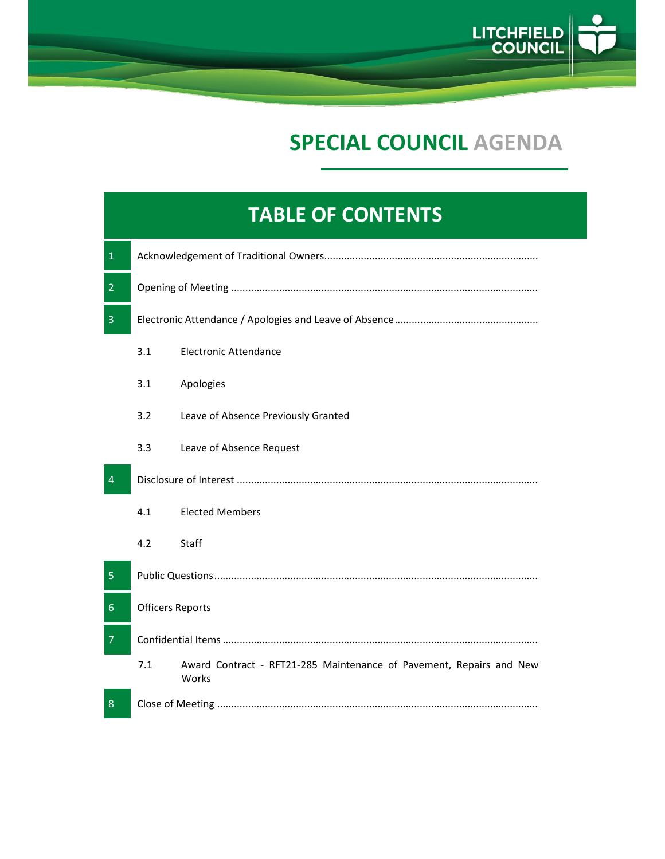

## **SPECIAL COUNCIL AGENDA**

### **TABLE OF CONTENTS**

| $\mathbf 1$    |                         |                                                                              |  |
|----------------|-------------------------|------------------------------------------------------------------------------|--|
| $\overline{2}$ |                         |                                                                              |  |
| $\overline{3}$ |                         |                                                                              |  |
|                | 3.1                     | <b>Electronic Attendance</b>                                                 |  |
|                | 3.1                     | Apologies                                                                    |  |
|                | 3.2                     | Leave of Absence Previously Granted                                          |  |
|                | 3.3                     | Leave of Absence Request                                                     |  |
| $\overline{4}$ |                         |                                                                              |  |
|                | 4.1                     | <b>Elected Members</b>                                                       |  |
|                | 4.2                     | Staff                                                                        |  |
| 5              |                         |                                                                              |  |
| $\sqrt{6}$     | <b>Officers Reports</b> |                                                                              |  |
| $\overline{7}$ |                         |                                                                              |  |
|                | 7.1                     | Award Contract - RFT21-285 Maintenance of Pavement, Repairs and New<br>Works |  |
| 8              |                         |                                                                              |  |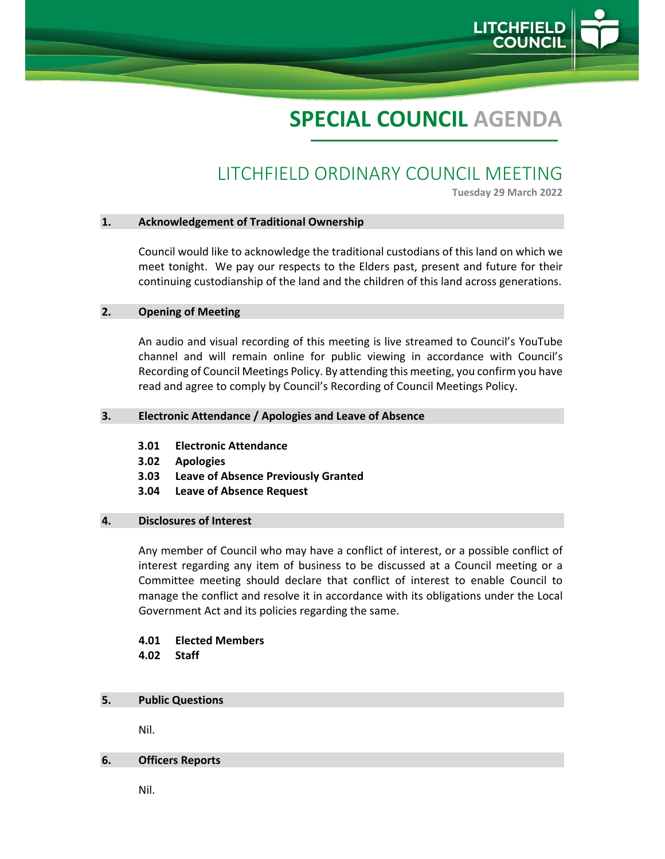

## **SPECIAL COUNCIL AGENDA**

### LITCHFIELD ORDINARY COUNCIL MEETING

**Tuesday 29 March 2022**

#### **1. Acknowledgement of Traditional Ownership**

Council would like to acknowledge the traditional custodians of this land on which we meet tonight. We pay our respects to the Elders past, present and future for their continuing custodianship of the land and the children of this land across generations.

#### **2. Opening of Meeting**

An audio and visual recording of this meeting is live streamed to Council's YouTube channel and will remain online for public viewing in accordance with Council's Recording of Council Meetings Policy. By attending this meeting, you confirm you have read and agree to comply by Council's Recording of Council Meetings Policy.

#### **3. Electronic Attendance / Apologies and Leave of Absence**

- **3.01 Electronic Attendance**
- **3.02 Apologies**
- **3.03 Leave of Absence Previously Granted**
- **3.04 Leave of Absence Request**

#### **4. Disclosures of Interest**

Any member of Council who may have a conflict of interest, or a possible conflict of interest regarding any item of business to be discussed at a Council meeting or a Committee meeting should declare that conflict of interest to enable Council to manage the conflict and resolve it in accordance with its obligations under the Local Government Act and its policies regarding the same.

#### **4.01 Elected Members 4.02 Staff**

#### **5. Public Questions**

Nil.

#### **6. Officers Reports**

Nil.